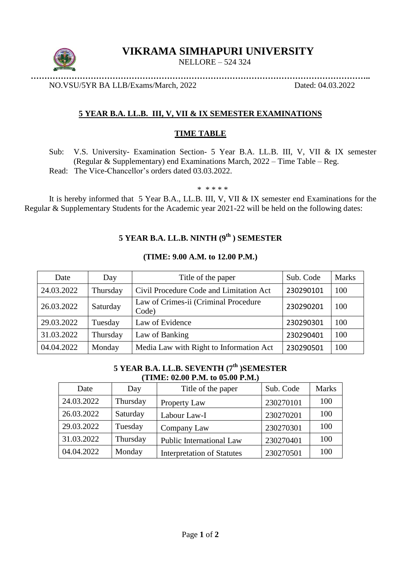

# **VIKRAMA SIMHAPURI UNIVERSITY**

**……………………………………………………………………………………………………………..**

NELLORE – 524 324

NO.VSU/5YR BA LLB/Exams/March, 2022 Dated: 04.03.2022

## **5 YEAR B.A. LL.B. III, V, VII & IX SEMESTER EXAMINATIONS**

## **TIME TABLE**

Sub: V.S. University- Examination Section- 5 Year B.A. LL.B. III, V, VII & IX semester (Regular & Supplementary) end Examinations March, 2022 – Time Table – Reg. Read: The Vice-Chancellor's orders dated 03.03.2022.

\* \* \* \* \*

It is hereby informed that 5 Year B.A., LL.B. III, V, VII & IX semester end Examinations for the Regular & Supplementary Students for the Academic year 2021-22 will be held on the following dates:

## **5 YEAR B.A. LL.B. NINTH (9th ) SEMESTER**

| Date       | Day      | Title of the paper                            | Sub. Code | <b>Marks</b> |
|------------|----------|-----------------------------------------------|-----------|--------------|
| 24.03.2022 | Thursday | Civil Procedure Code and Limitation Act       | 230290101 | 100          |
| 26.03.2022 | Saturday | Law of Crimes-ii (Criminal Procedure<br>Code) | 230290201 | 100          |
| 29.03.2022 | Tuesday  | Law of Evidence                               | 230290301 | 100          |
| 31.03.2022 | Thursday | Law of Banking                                | 230290401 | 100          |
| 04.04.2022 | Monday   | Media Law with Right to Information Act       | 230290501 | 100          |

#### **(TIME: 9.00 A.M. to 12.00 P.M.)**

### **5 YEAR B.A. LL.B. SEVENTH (7th )SEMESTER (TIME: 02.00 P.M. to 05.00 P.M.)**

| Date       | Day      | Title of the paper                | Sub. Code | <b>Marks</b> |
|------------|----------|-----------------------------------|-----------|--------------|
| 24.03.2022 | Thursday | Property Law                      | 230270101 | 100          |
| 26.03.2022 | Saturday | Labour Law-I                      | 230270201 | 100          |
| 29.03.2022 | Tuesday  | Company Law                       | 230270301 | 100          |
| 31.03.2022 | Thursday | Public International Law          | 230270401 | 100          |
| 04.04.2022 | Monday   | <b>Interpretation of Statutes</b> | 230270501 | 100          |